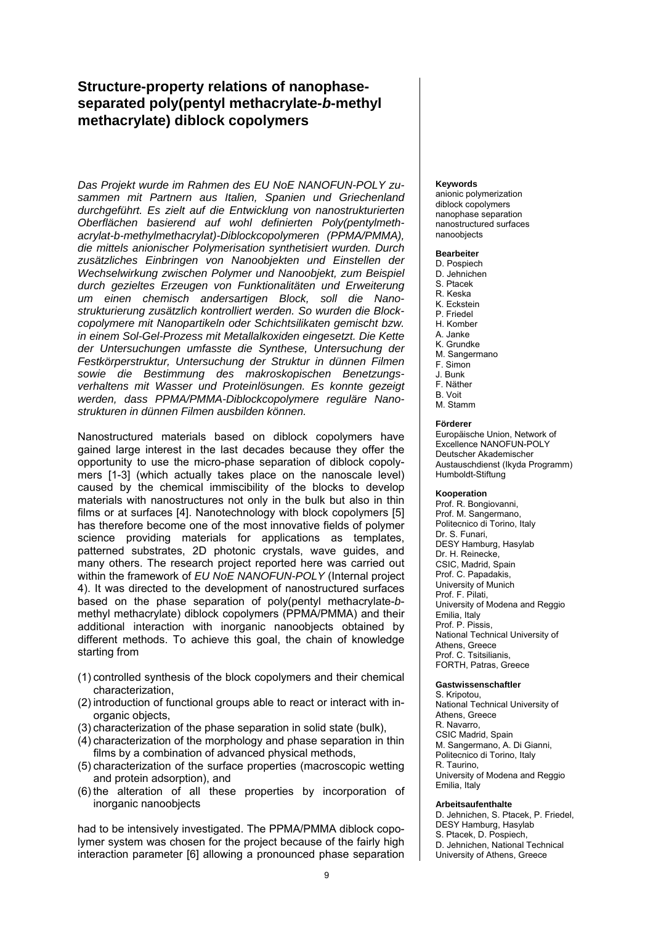# **Structure-property relations of nanophaseseparated poly(pentyl methacrylate-***b***-methyl methacrylate) diblock copolymers**

*Das Projekt wurde im Rahmen des EU NoE NANOFUN-POLY zusammen mit Partnern aus Italien, Spanien und Griechenland durchgeführt. Es zielt auf die Entwicklung von nanostrukturierten Oberflächen basierend auf wohl definierten Poly(pentylmethacrylat-b-methylmethacrylat)-Diblockcopolymeren (PPMA/PMMA), die mittels anionischer Polymerisation synthetisiert wurden. Durch zusätzliches Einbringen von Nanoobjekten und Einstellen der Wechselwirkung zwischen Polymer und Nanoobjekt, zum Beispiel durch gezieltes Erzeugen von Funktionalitäten und Erweiterung um einen chemisch andersartigen Block, soll die Nanostrukturierung zusätzlich kontrolliert werden. So wurden die Blockcopolymere mit Nanopartikeln oder Schichtsilikaten gemischt bzw. in einem Sol-Gel-Prozess mit Metallalkoxiden eingesetzt. Die Kette der Untersuchungen umfasste die Synthese, Untersuchung der Festkörperstruktur, Untersuchung der Struktur in dünnen Filmen sowie die Bestimmung des makroskopischen Benetzungsverhaltens mit Wasser und Proteinlösungen. Es konnte gezeigt werden, dass PPMA/PMMA-Diblockcopolymere reguläre Nanostrukturen in dünnen Filmen ausbilden können.* 

Nanostructured materials based on diblock copolymers have gained large interest in the last decades because they offer the opportunity to use the micro-phase separation of diblock copolymers [1-3] (which actually takes place on the nanoscale level) caused by the chemical immiscibility of the blocks to develop materials with nanostructures not only in the bulk but also in thin films or at surfaces [4]. Nanotechnology with block copolymers [5] has therefore become one of the most innovative fields of polymer science providing materials for applications as templates, patterned substrates, 2D photonic crystals, wave guides, and many others. The research project reported here was carried out within the framework of *EU NoE NANOFUN-POLY* (Internal project 4). It was directed to the development of nanostructured surfaces based on the phase separation of poly(pentyl methacrylate-*b*methyl methacrylate) diblock copolymers (PPMA/PMMA) and their additional interaction with inorganic nanoobjects obtained by different methods. To achieve this goal, the chain of knowledge starting from

- (1) controlled synthesis of the block copolymers and their chemical characterization,
- (2) introduction of functional groups able to react or interact with inorganic objects,
- (3) characterization of the phase separation in solid state (bulk),
- (4) characterization of the morphology and phase separation in thin films by a combination of advanced physical methods,
- (5) characterization of the surface properties (macroscopic wetting and protein adsorption), and
- (6) the alteration of all these properties by incorporation of inorganic nanoobjects

had to be intensively investigated. The PPMA/PMMA diblock copolymer system was chosen for the project because of the fairly high interaction parameter [6] allowing a pronounced phase separation

#### **Keywords**

anionic polymerization diblock copolymers nanophase separation nanostructured surfaces nanoobjects

### **Bearbeiter**

- D. Pospiech
- D. Jehnichen S. Ptacek
- R. Keska
- K. Eckstein
- P. Friedel
- H. Komber
- A. Janke
- K. Grundke M. Sangermano
- F. Simon
- J. Bunk
- F. Näther
- B. Voit
- M. Stamm

### **Förderer**

Europäische Union, Network of Excellence NANOFUN-POLY Deutscher Akademischer Austauschdienst (Ikyda Programm) Humboldt-Stiftung

#### **Kooperation**

Prof. R. Bongiovanni, Prof. M. Sangermano, Politecnico di Torino, Italy Dr. S. Funari, DESY Hamburg, Hasylab Dr. H. Reinecke, CSIC, Madrid, Spain Prof. C. Papadakis, University of Munich Prof. F. Pilati, University of Modena and Reggio Emilia, Italy Prof. P. Pissis, National Technical University of Athens, Greece Prof. C. Tsitsilianis, FORTH, Patras, Greece

#### **Gastwissenschaftler**

S. Kripotou National Technical University of Athens, Greece R. Navarro, CSIC Madrid, Spain M. Sangermano, A. Di Gianni, Politecnico di Torino, Italy R. Taurino, University of Modena and Reggio Emilia, Italy

#### **Arbeitsaufenthalte**

D. Jehnichen, S. Ptacek, P. Friedel, DESY Hamburg, Hasylab S. Ptacek, D. Pospiech, D. Jehnichen, National Technical University of Athens, Greece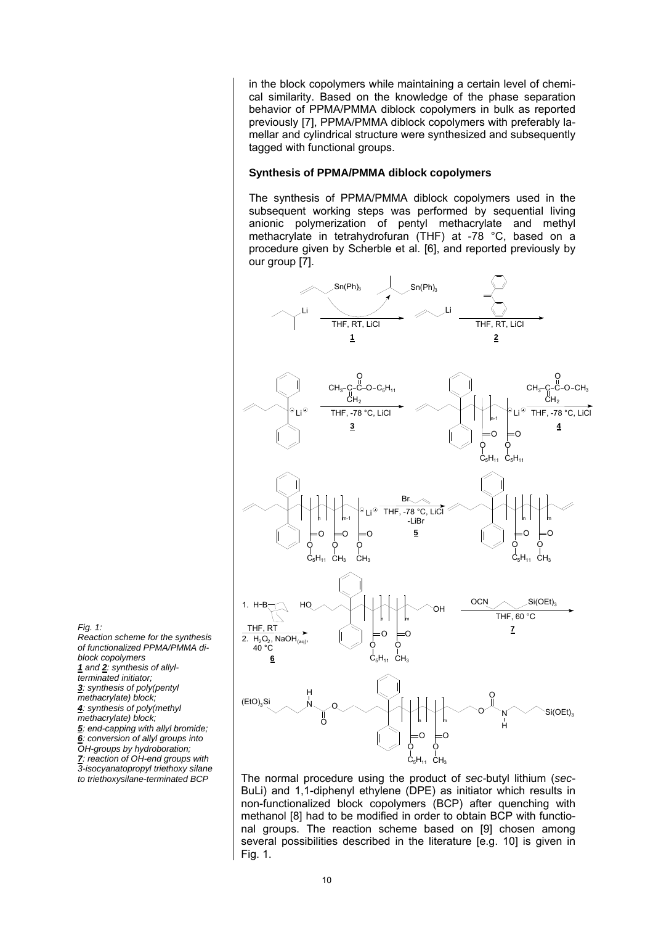in the block copolymers while maintaining a certain level of chemical similarity. Based on the knowledge of the phase separation behavior of PPMA/PMMA diblock copolymers in bulk as reported previously [7], PPMA/PMMA diblock copolymers with preferably lamellar and cylindrical structure were synthesized and subsequently tagged with functional groups.

### **Synthesis of PPMA/PMMA diblock copolymers**

The synthesis of PPMA/PMMA diblock copolymers used in the subsequent working steps was performed by sequential living anionic polymerization of pentyl methacrylate and methyl methacrylate in tetrahydrofuran (THF) at -78 °C, based on a procedure given by Scherble et al. [6], and reported previously by our group [7].



The normal procedure using the product of *sec-*butyl lithium (*sec*-BuLi) and 1,1-diphenyl ethylene (DPE) as initiator which results in non-functionalized block copolymers (BCP) after quenching with methanol [8] had to be modified in order to obtain BCP with functional groups. The reaction scheme based on [9] chosen among several possibilities described in the literature [e.g. 10] is given in Fig. 1.

*Fig. 1: Reaction scheme for the synthesis of functionalized PPMA/PMMA diblock copolymers 1 and 2: synthesis of allylterminated initiator; 3: synthesis of poly(pentyl methacrylate) block; 4: synthesis of poly(methyl methacrylate) block; 5: end-capping with allyl bromide; 6: conversion of allyl groups into OH-groups by hydroboration; 7: reaction of OH-end groups with 3-isocyanatopropyl triethoxy silane to triethoxysilane-terminated BCP*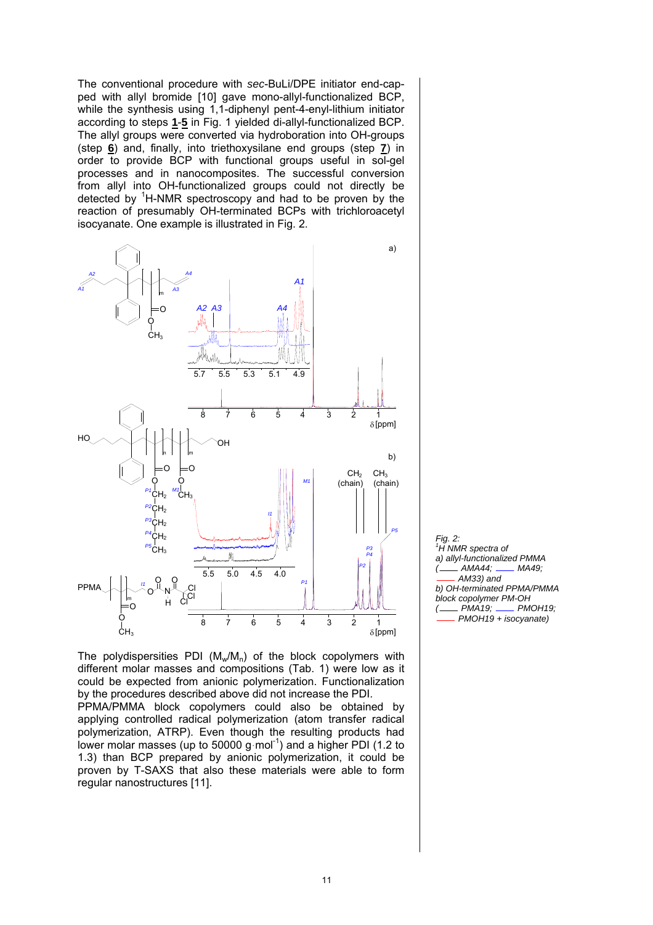The conventional procedure with *sec*-BuLi/DPE initiator end-capped with allyl bromide [10] gave mono-allyl-functionalized BCP, while the synthesis using 1,1-diphenyl pent-4-enyl-lithium initiator according to steps **1**-**5** in Fig. 1 yielded di-allyl-functionalized BCP. The allyl groups were converted via hydroboration into OH-groups (step **6**) and, finally, into triethoxysilane end groups (step **7**) in order to provide BCP with functional groups useful in sol-gel processes and in nanocomposites. The successful conversion from allyl into OH-functionalized groups could not directly be detected by <sup>1</sup>H-NMR spectroscopy and had to be proven by the reaction of presumably OH-terminated BCPs with trichloroacetyl isocyanate. One example is illustrated in Fig. 2.



The polydispersities PDI  $(M_w/M_p)$  of the block copolymers with different molar masses and compositions (Tab. 1) were low as it could be expected from anionic polymerization. Functionalization by the procedures described above did not increase the PDI. PPMA/PMMA block copolymers could also be obtained by

applying controlled radical polymerization (atom transfer radical polymerization, ATRP). Even though the resulting products had lower molar masses (up to 50000 g $\cdot$  mol<sup>-1</sup>) and a higher PDI (1.2 to 1.3) than BCP prepared by anionic polymerization, it could be proven by T-SAXS that also these materials were able to form regular nanostructures [11].

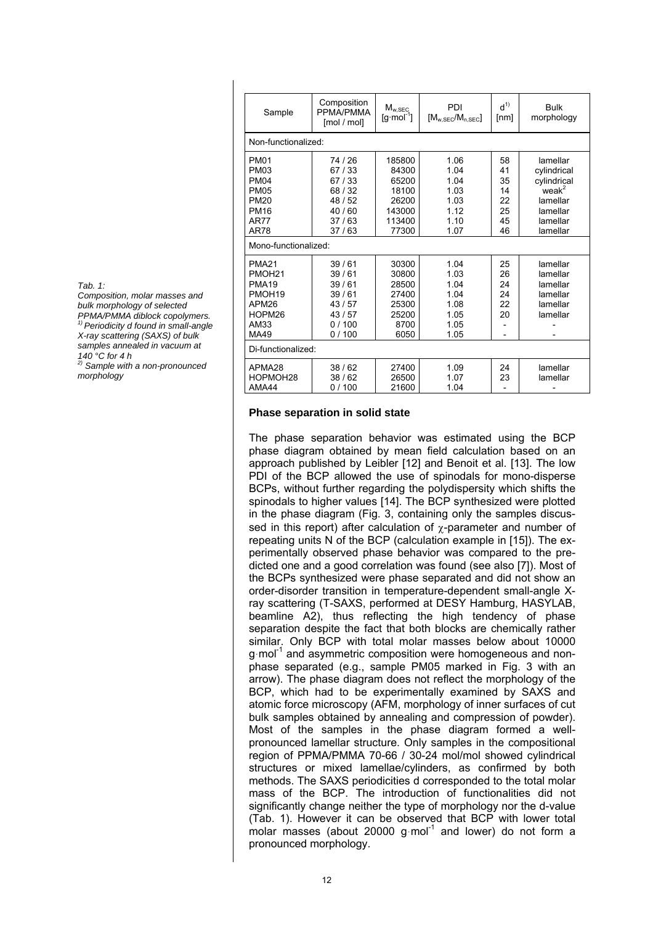| Sample               | Composition<br>PPMA/PMMA<br>[mol / mol] | $M_{w,SEC}$<br>$[g \cdot mol^{-1}]$ | PDI<br>$[M_{w,SEC}/M_{n,SEC}]$ | $d^{(1)}$<br>[nm] | <b>Bulk</b><br>morphology |  |  |  |
|----------------------|-----------------------------------------|-------------------------------------|--------------------------------|-------------------|---------------------------|--|--|--|
| Non-functionalized:  |                                         |                                     |                                |                   |                           |  |  |  |
| <b>PM01</b>          | 74/26                                   | 185800                              | 1.06                           | 58                | lamellar                  |  |  |  |
| <b>PM03</b>          | 67/33                                   | 84300                               | 1.04                           | 41                | cylindrical               |  |  |  |
| <b>PM04</b>          | 67/33                                   | 65200                               | 1.04                           | 35                | cylindrical               |  |  |  |
| <b>PM05</b>          | 68/32                                   | 18100                               | 1.03                           | 14                | weak <sup>2</sup>         |  |  |  |
| <b>PM20</b>          | 48/52                                   | 26200                               | 1.03                           | 22                | lamellar                  |  |  |  |
| <b>PM16</b>          | 40/60                                   | 143000                              | 1.12                           | 25                | lamellar                  |  |  |  |
| AR77                 | 37/63                                   | 113400                              | 1.10                           | 45                | lamellar                  |  |  |  |
| AR78                 | 37/63                                   | 77300                               | 1.07                           | 46                | lamellar                  |  |  |  |
| Mono-functionalized: |                                         |                                     |                                |                   |                           |  |  |  |
| <b>PMA21</b>         | 39/61                                   | 30300                               | 1.04                           | 25                | lamellar                  |  |  |  |
| PMOH <sub>21</sub>   | 39/61                                   | 30800                               | 1.03                           | 26                | lamellar                  |  |  |  |
| <b>PMA19</b>         | 39/61                                   | 28500                               | 1.04                           | 24                | lamellar                  |  |  |  |
| PMOH <sub>19</sub>   | 39/61                                   | 27400                               | 1.04                           | 24                | lamellar                  |  |  |  |
| APM26                | 43/57                                   | 25300                               | 1.08                           | 22                | lamellar                  |  |  |  |
| HOPM26               | 43/57                                   | 25200                               | 1.05                           | 20                | lamellar                  |  |  |  |
| AM33                 | 0/100                                   | 8700                                | 1.05                           |                   |                           |  |  |  |
| MA49                 | 0/100                                   | 6050                                | 1.05                           |                   |                           |  |  |  |
| Di-functionalized:   |                                         |                                     |                                |                   |                           |  |  |  |
| APMA28               | 38/62                                   | 27400                               | 1.09                           | 24                | lamellar                  |  |  |  |
| HOPMOH28             | 38/62                                   | 26500                               | 1.07                           | 23                | lamellar                  |  |  |  |
| AMA44                | 0/100                                   | 21600                               | 1.04                           |                   |                           |  |  |  |

*Tab. 1:* 

*Composition, molar masses and bulk morphology of selected PPMA/PMMA diblock copolymers. 1) Periodicity d found in small-angle X-ray scattering (SAXS) of bulk samples annealed in vacuum at 140 °C for 4 h 2) Sample with a non-pronounced* 

*morphology* 

## **Phase separation in solid state**

The phase separation behavior was estimated using the BCP phase diagram obtained by mean field calculation based on an approach published by Leibler [12] and Benoit et al. [13]. The low PDI of the BCP allowed the use of spinodals for mono-disperse BCPs, without further regarding the polydispersity which shifts the spinodals to higher values [14]. The BCP synthesized were plotted in the phase diagram (Fig. 3, containing only the samples discussed in this report) after calculation of  $\gamma$ -parameter and number of repeating units N of the BCP (calculation example in [15]). The experimentally observed phase behavior was compared to the predicted one and a good correlation was found (see also [7]). Most of the BCPs synthesized were phase separated and did not show an order-disorder transition in temperature-dependent small-angle Xray scattering (T-SAXS, performed at DESY Hamburg, HASYLAB, beamline A2), thus reflecting the high tendency of phase separation despite the fact that both blocks are chemically rather similar. Only BCP with total molar masses below about 10000 g mol<sup>-1</sup> and asymmetric composition were homogeneous and nonphase separated (e.g., sample PM05 marked in Fig. 3 with an arrow). The phase diagram does not reflect the morphology of the BCP, which had to be experimentally examined by SAXS and atomic force microscopy (AFM, morphology of inner surfaces of cut bulk samples obtained by annealing and compression of powder). Most of the samples in the phase diagram formed a wellpronounced lamellar structure. Only samples in the compositional region of PPMA/PMMA 70-66 / 30-24 mol/mol showed cylindrical structures or mixed lamellae/cylinders, as confirmed by both methods. The SAXS periodicities d corresponded to the total molar mass of the BCP. The introduction of functionalities did not significantly change neither the type of morphology nor the d-value (Tab. 1). However it can be observed that BCP with lower total molar masses (about 20000 g $\cdot$ mol<sup>-1</sup> and lower) do not form a pronounced morphology.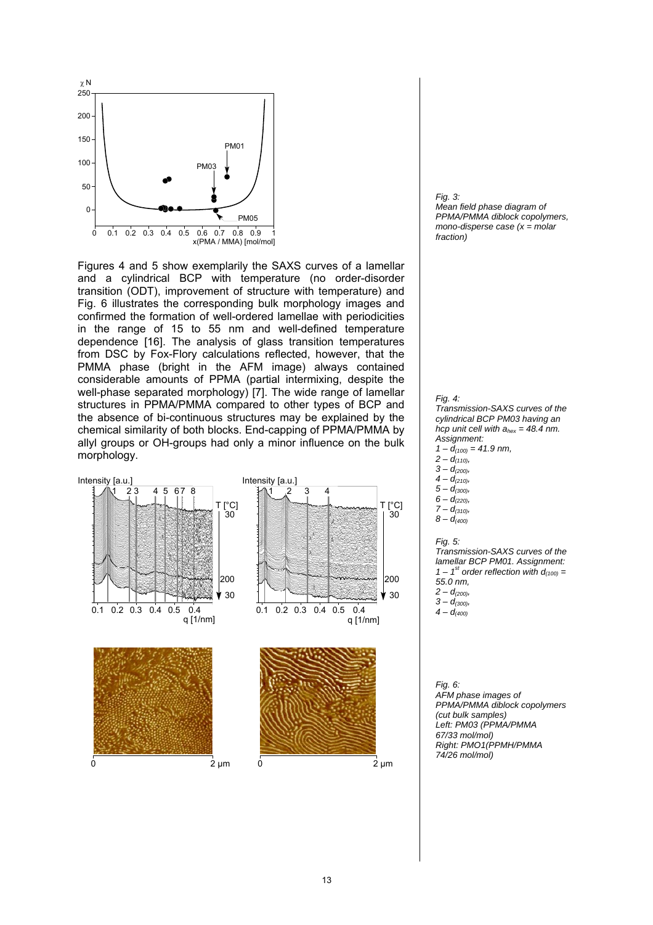

Figures 4 and 5 show exemplarily the SAXS curves of a lamellar and a cylindrical BCP with temperature (no order-disorder transition (ODT), improvement of structure with temperature) and Fig. 6 illustrates the corresponding bulk morphology images and confirmed the formation of well-ordered lamellae with periodicities in the range of 15 to 55 nm and well-defined temperature dependence [16]. The analysis of glass transition temperatures from DSC by Fox-Flory calculations reflected, however, that the PMMA phase (bright in the AFM image) always contained considerable amounts of PPMA (partial intermixing, despite the well-phase separated morphology) [7]. The wide range of lamellar structures in PPMA/PMMA compared to other types of BCP and the absence of bi-continuous structures may be explained by the chemical similarity of both blocks. End-capping of PPMA/PMMA by allyl groups or OH-groups had only a minor influence on the bulk morphology.



*Fig. 3: Mean field phase diagram of PPMA/PMMA diblock copolymers, mono-disperse case (x = molar fraction)*



*Transmission-SAXS curves of the cylindrical BCP PM03 having an hcp unit cell with ahex = 48.4 nm. Assignment:*   $1 - d_{(100)} = 41.9$  nm,

- *2 d(110),*   $3 - d_{(200)}$
- $4 d_{(210)}$
- *5 d(300),*
- $6 d_{(220)}$
- *7 d(310),*
- *8 d(400)*

### *Fig. 5:*

*Transmission-SAXS curves of the lamellar BCP PM01. Assignment:*   $1 - 1$ <sup>st</sup> order reflection with  $d_{(100)} =$ *55.0 nm, 2 – d(200), 3 – d(300),*   $4 - d_{(400)}$ 

*Fig. 6: AFM phase images of PPMA/PMMA diblock copolymers (cut bulk samples) Left: PM03 (PPMA/PMMA 67/33 mol/mol) Right: PMO1(PPMH/PMMA 74/26 mol/mol)*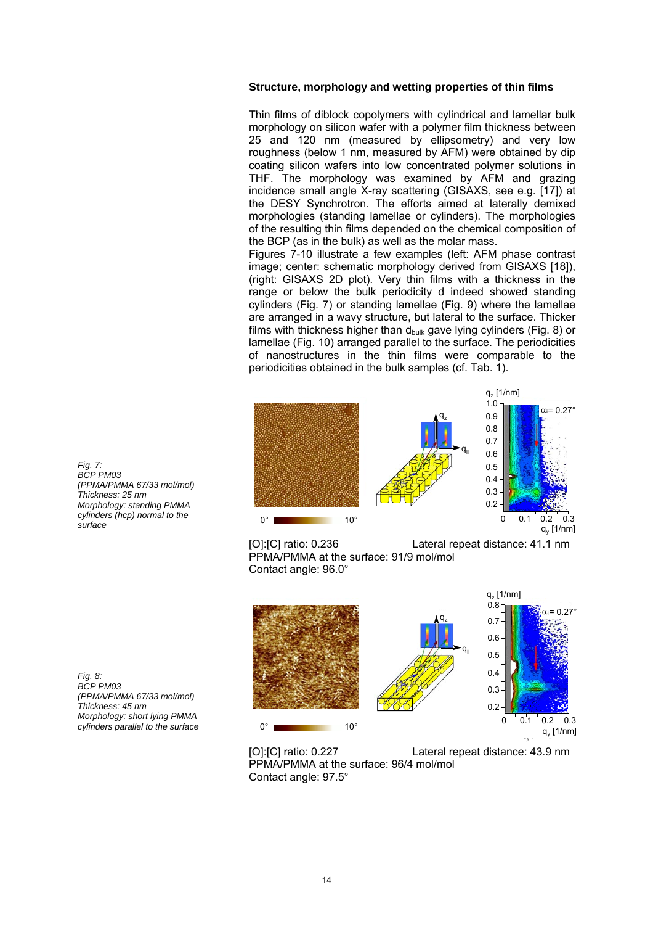### **Structure, morphology and wetting properties of thin films**

Thin films of diblock copolymers with cylindrical and lamellar bulk morphology on silicon wafer with a polymer film thickness between 25 and 120 nm (measured by ellipsometry) and very low roughness (below 1 nm, measured by AFM) were obtained by dip coating silicon wafers into low concentrated polymer solutions in THF. The morphology was examined by AFM and grazing incidence small angle X-ray scattering (GISAXS, see e.g. [17]) at the DESY Synchrotron. The efforts aimed at laterally demixed morphologies (standing lamellae or cylinders). The morphologies of the resulting thin films depended on the chemical composition of the BCP (as in the bulk) as well as the molar mass.

Figures 7-10 illustrate a few examples (left: AFM phase contrast image; center: schematic morphology derived from GISAXS [18]), (right: GISAXS 2D plot). Very thin films with a thickness in the range or below the bulk periodicity d indeed showed standing cylinders (Fig. 7) or standing lamellae (Fig. 9) where the lamellae are arranged in a wavy structure, but lateral to the surface. Thicker films with thickness higher than  $d_{bulk}$  gave lying cylinders (Fig. 8) or lamellae (Fig. 10) arranged parallel to the surface. The periodicities of nanostructures in the thin films were comparable to the periodicities obtained in the bulk samples (cf. Tab. 1).



PPMA/PMMA at the surface: 91/9 mol/mol Contact angle: 96.0°



[O]:[C] ratio: 0.227 Lateral repeat distance: 43.9 nm PPMA/PMMA at the surface: 96/4 mol/mol Contact angle: 97.5°

*Fig. 7: BCP PM03 (PPMA/PMMA 67/33 mol/mol) Thickness: 25 nm Morphology: standing PMMA cylinders (hcp) normal to the surface*

*Fig. 8: BCP PM03 (PPMA/PMMA 67/33 mol/mol) Thickness: 45 nm Morphology: short lying PMMA cylinders parallel to the surface*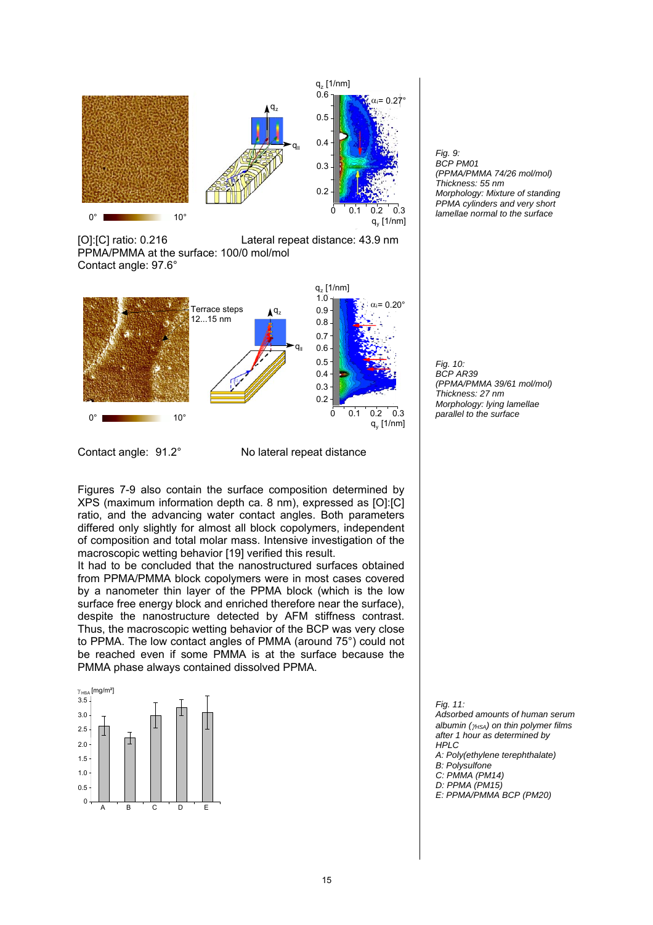

[O]:[C] ratio: 0.216 Lateral repeat distance: 43.9 nm PPMA/PMMA at the surface: 100/0 mol/mol Contact angle: 97.6°



Contact angle: 91.2° No lateral repeat distance

Figures 7-9 also contain the surface composition determined by XPS (maximum information depth ca. 8 nm), expressed as [O]:[C] ratio, and the advancing water contact angles. Both parameters differed only slightly for almost all block copolymers, independent of composition and total molar mass. Intensive investigation of the macroscopic wetting behavior [19] verified this result.

It had to be concluded that the nanostructured surfaces obtained from PPMA/PMMA block copolymers were in most cases covered by a nanometer thin layer of the PPMA block (which is the low surface free energy block and enriched therefore near the surface), despite the nanostructure detected by AFM stiffness contrast. Thus, the macroscopic wetting behavior of the BCP was very close to PPMA. The low contact angles of PMMA (around 75°) could not be reached even if some PMMA is at the surface because the PMMA phase always contained dissolved PPMA.







*Fig. 11: Adsorbed amounts of human serum albumin (γ<sub>HSA</sub>)* on thin polymer films *after 1 hour as determined by HPLC A: Poly(ethylene terephthalate) B: Polysulfone C: PMMA (PM14) D: PPMA (PM15) E: PPMA/PMMA BCP (PM20)*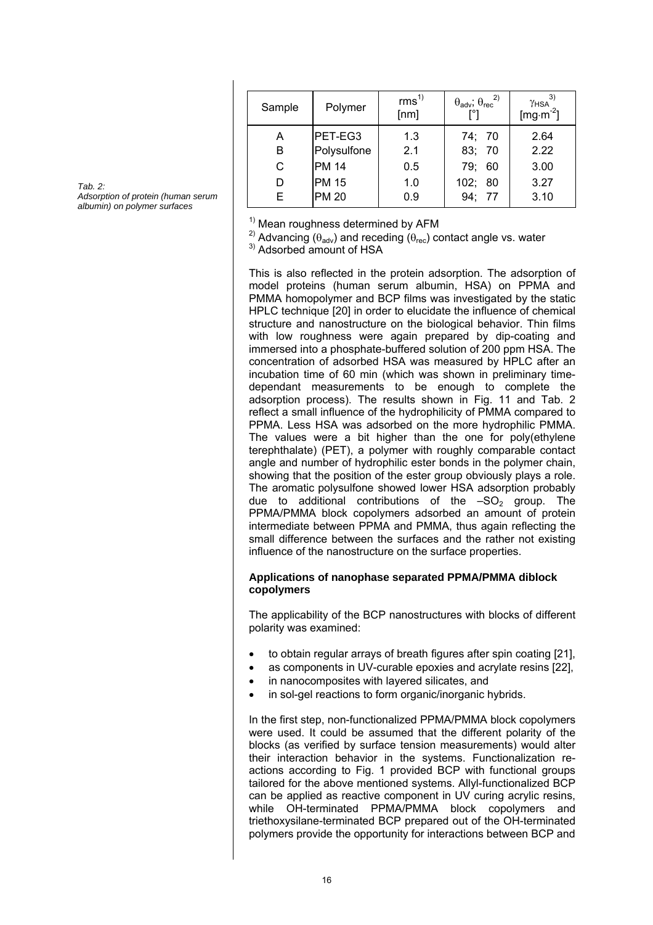| Sample | Polymer      | rms <sup>1</sup><br>[nm] | $\theta_{\text{adv}}$ ; $\theta_{\text{rec}}^{2)}$ | - 3)<br>Y <sub>HSA</sub><br>[ $mg·m-2$ ] |
|--------|--------------|--------------------------|----------------------------------------------------|------------------------------------------|
| А      | PET-EG3      | 1.3                      | 74; 70                                             | 2.64                                     |
| B      | Polysulfone  | 2.1                      | 83; 70                                             | 2.22                                     |
| С      | <b>PM 14</b> | 0.5                      | 79;<br>60                                          | 3.00                                     |
| D      | <b>PM 15</b> | 1.0                      | 102; 80                                            | 3.27                                     |
|        | <b>PM 20</b> | 0.9                      | 94; 77                                             | 3.10                                     |

*Tab. 2: Adsorption of protein (human serum albumin) on polymer surfaces*

 $1)$  Mean roughness determined by AFM

<sup>2)</sup> Advancing ( $\theta_{\text{adv}}$ ) and receding ( $\theta_{\text{rec}}$ ) contact angle vs. water <sup>3)</sup> Adsorbed amount of HSA

This is also reflected in the protein adsorption. The adsorption of model proteins (human serum albumin, HSA) on PPMA and PMMA homopolymer and BCP films was investigated by the static HPLC technique [20] in order to elucidate the influence of chemical structure and nanostructure on the biological behavior. Thin films with low roughness were again prepared by dip-coating and immersed into a phosphate-buffered solution of 200 ppm HSA. The concentration of adsorbed HSA was measured by HPLC after an incubation time of 60 min (which was shown in preliminary timedependant measurements to be enough to complete the adsorption process). The results shown in Fig. 11 and Tab. 2 reflect a small influence of the hydrophilicity of PMMA compared to PPMA. Less HSA was adsorbed on the more hydrophilic PMMA. The values were a bit higher than the one for poly(ethylene terephthalate) (PET), a polymer with roughly comparable contact angle and number of hydrophilic ester bonds in the polymer chain, showing that the position of the ester group obviously plays a role. The aromatic polysulfone showed lower HSA adsorption probably due to additional contributions of the  $-SO<sub>2</sub>$  group. The PPMA/PMMA block copolymers adsorbed an amount of protein intermediate between PPMA and PMMA, thus again reflecting the small difference between the surfaces and the rather not existing influence of the nanostructure on the surface properties.

### **Applications of nanophase separated PPMA/PMMA diblock copolymers**

The applicability of the BCP nanostructures with blocks of different polarity was examined:

- to obtain regular arrays of breath figures after spin coating [21],
- as components in UV-curable epoxies and acrylate resins [22],
- in nanocomposites with layered silicates, and
- in sol-gel reactions to form organic/inorganic hybrids.

In the first step, non-functionalized PPMA/PMMA block copolymers were used. It could be assumed that the different polarity of the blocks (as verified by surface tension measurements) would alter their interaction behavior in the systems. Functionalization reactions according to Fig. 1 provided BCP with functional groups tailored for the above mentioned systems. Allyl-functionalized BCP can be applied as reactive component in UV curing acrylic resins, while OH-terminated PPMA/PMMA block copolymers and triethoxysilane-terminated BCP prepared out of the OH-terminated polymers provide the opportunity for interactions between BCP and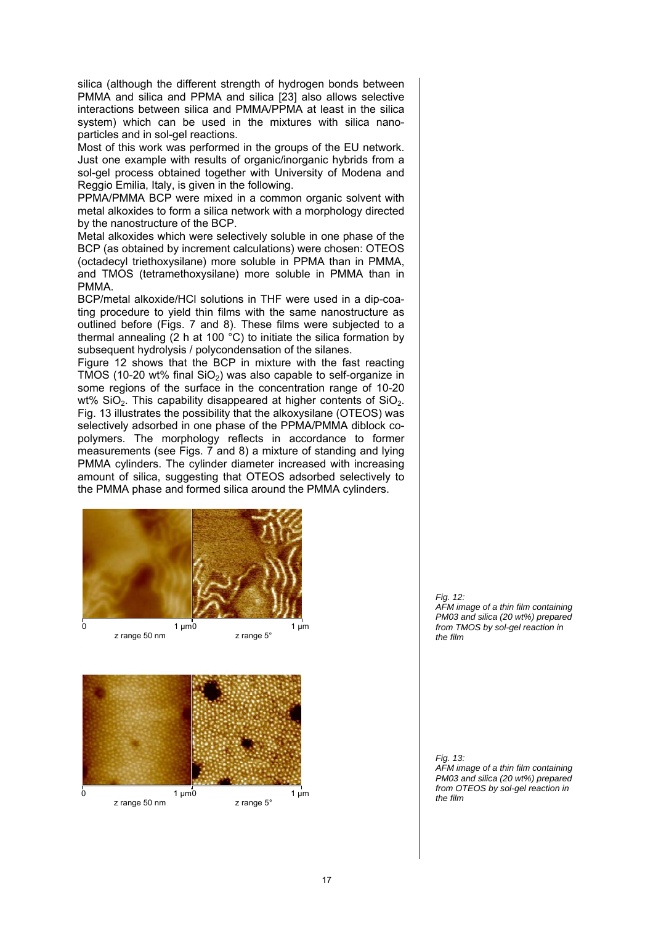silica (although the different strength of hydrogen bonds between PMMA and silica and PPMA and silica [23] also allows selective interactions between silica and PMMA/PPMA at least in the silica system) which can be used in the mixtures with silica nanoparticles and in sol-gel reactions.

Most of this work was performed in the groups of the EU network. Just one example with results of organic/inorganic hybrids from a sol-gel process obtained together with University of Modena and Reggio Emilia, Italy, is given in the following.

PPMA/PMMA BCP were mixed in a common organic solvent with metal alkoxides to form a silica network with a morphology directed by the nanostructure of the BCP.

Metal alkoxides which were selectively soluble in one phase of the BCP (as obtained by increment calculations) were chosen: OTEOS (octadecyl triethoxysilane) more soluble in PPMA than in PMMA, and TMOS (tetramethoxysilane) more soluble in PMMA than in PMMA.

BCP/metal alkoxide/HCl solutions in THF were used in a dip-coating procedure to yield thin films with the same nanostructure as outlined before (Figs. 7 and 8). These films were subjected to a thermal annealing  $(2 h at 100 °C)$  to initiate the silica formation by subsequent hydrolysis / polycondensation of the silanes.

Figure 12 shows that the BCP in mixture with the fast reacting TMOS (10-20 wt% final  $SiO<sub>2</sub>$ ) was also capable to self-organize in some regions of the surface in the concentration range of 10-20 wt%  $SiO<sub>2</sub>$ . This capability disappeared at higher contents of  $SiO<sub>2</sub>$ . Fig. 13 illustrates the possibility that the alkoxysilane (OTEOS) was selectively adsorbed in one phase of the PPMA/PMMA diblock copolymers. The morphology reflects in accordance to former measurements (see Figs. 7 and 8) a mixture of standing and lying PMMA cylinders. The cylinder diameter increased with increasing amount of silica, suggesting that OTEOS adsorbed selectively to the PMMA phase and formed silica around the PMMA cylinders.



*Fig. 12: AFM image of a thin film containing PM03 and silica (20 wt%) prepared from TMOS by sol-gel reaction in the film* 

*Fig. 13: AFM image of a thin film containing PM03 and silica (20 wt%) prepared from OTEOS by sol-gel reaction in the film*